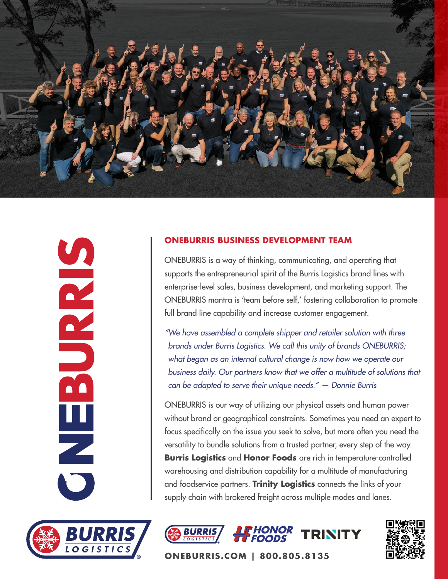

DR DR DR 

## **ONEBURRIS BUSINESS DEVELOPMENT TEAM**

ONEBURRIS is a way of thinking, communicating, and operating that supports the entrepreneurial spirit of the Burris Logistics brand lines with enterprise-level sales, business development, and marketing support. The ONEBURRIS mantra is 'team before self,' fostering collaboration to promote full brand line capability and increase customer engagement.

*"We have assembled a complete shipper and retailer solution with three brands under Burris Logistics. We call this unity of brands ONEBURRIS;*  what began as an internal cultural change is now how we operate our *business daily. Our partners know that we offer a multitude of solutions that can be adapted to serve their unique needs." — Donnie Burris*

ONEBURRIS is our way of utilizing our physical assets and human power without brand or geographical constraints. Sometimes you need an expert to focus specifically on the issue you seek to solve, but more often you need the versatility to bundle solutions from a trusted partner, every step of the way. **Burris Logistics** and **Honor Foods** are rich in temperature-controlled warehousing and distribution capability for a multitude of manufacturing and foodservice partners. **Trinity Logistics** connects the links of your supply chain with brokered freight across multiple modes and lanes.







**ONEBURRIS.COM | 800.805.8135**